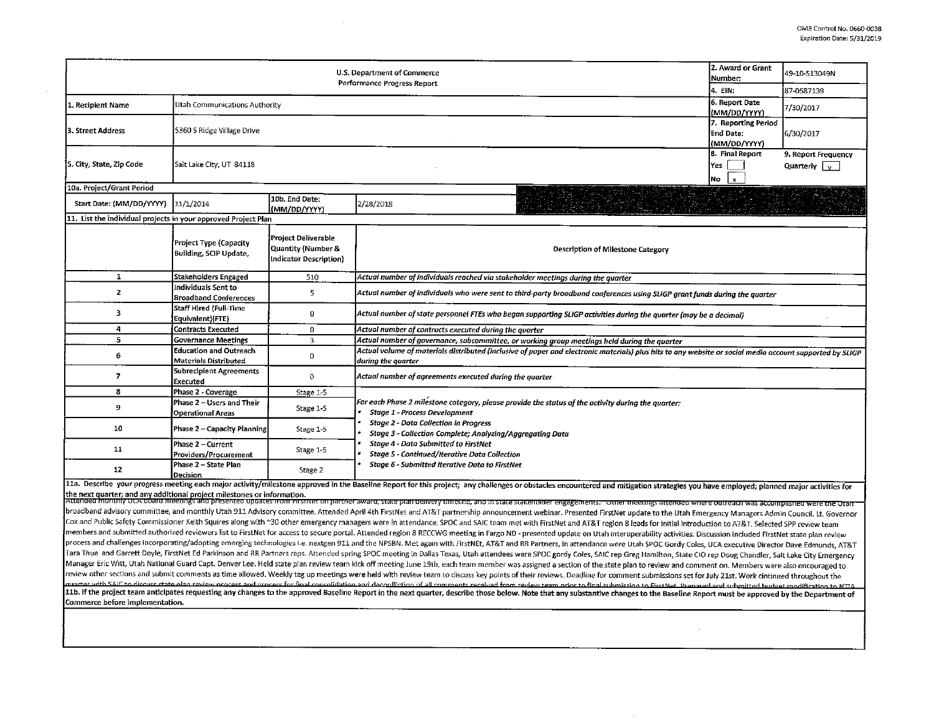|                                                                | 2. Award or Grant<br>Number:                                                                                                    | 49-10-S13049N                                                                           |                                                                                                                                                                                                                                                                                                                                                                                                                                                                                                                                                                                                                                                                                                    |  |  |  |  |  |  |  |
|----------------------------------------------------------------|---------------------------------------------------------------------------------------------------------------------------------|-----------------------------------------------------------------------------------------|----------------------------------------------------------------------------------------------------------------------------------------------------------------------------------------------------------------------------------------------------------------------------------------------------------------------------------------------------------------------------------------------------------------------------------------------------------------------------------------------------------------------------------------------------------------------------------------------------------------------------------------------------------------------------------------------------|--|--|--|--|--|--|--|
|                                                                | 4. EIN:                                                                                                                         | 87-0587139                                                                              |                                                                                                                                                                                                                                                                                                                                                                                                                                                                                                                                                                                                                                                                                                    |  |  |  |  |  |  |  |
| 1. Recipient Name                                              | Utah Communications Authority                                                                                                   | 6. Report Date<br>(MM/DD/YYYY)                                                          | 7/30/2017                                                                                                                                                                                                                                                                                                                                                                                                                                                                                                                                                                                                                                                                                          |  |  |  |  |  |  |  |
| 3. Street Address                                              | 5360 S Ridge Village Drive                                                                                                      | 7. Reporting Period<br><b>End Date:</b><br>(MM/DD/YYYY)                                 | 6/30/2017                                                                                                                                                                                                                                                                                                                                                                                                                                                                                                                                                                                                                                                                                          |  |  |  |  |  |  |  |
| 5. City, State, Zip Code                                       | Salt Lake City, UT 84118                                                                                                        | 8. Final Report<br>Yes<br>No<br>x                                                       | 9. Report Frequency<br>Quarterly $\vert \,$                                                                                                                                                                                                                                                                                                                                                                                                                                                                                                                                                                                                                                                        |  |  |  |  |  |  |  |
| 10a. Project/Grant Period                                      |                                                                                                                                 |                                                                                         |                                                                                                                                                                                                                                                                                                                                                                                                                                                                                                                                                                                                                                                                                                    |  |  |  |  |  |  |  |
| Start Date: (MM/DD/YYYY)                                       | 11/1/2014                                                                                                                       | 10b. End Date:<br>(MM/DD/YYYY)                                                          | 2/28/2018                                                                                                                                                                                                                                                                                                                                                                                                                                                                                                                                                                                                                                                                                          |  |  |  |  |  |  |  |
| 11. List the individual projects in your approved Project Plan |                                                                                                                                 |                                                                                         |                                                                                                                                                                                                                                                                                                                                                                                                                                                                                                                                                                                                                                                                                                    |  |  |  |  |  |  |  |
|                                                                | Project Type (Capacity<br>Building, SCIP Update.                                                                                | <b>Project Deliverable</b><br>Quantity (Number &<br>Indicator Description)              | Description of Milestone Category                                                                                                                                                                                                                                                                                                                                                                                                                                                                                                                                                                                                                                                                  |  |  |  |  |  |  |  |
| $\mathbf{1}$                                                   | <b>Stakeholders Engaged</b>                                                                                                     | 510<br>Actual number of individuals reached via stakeholder meetings during the quarter |                                                                                                                                                                                                                                                                                                                                                                                                                                                                                                                                                                                                                                                                                                    |  |  |  |  |  |  |  |
| $\mathbf{z}$                                                   | Individuals Sent to<br><b>Broadband Conferences</b>                                                                             | 5                                                                                       | Actual number of individuals who were sent to third-party broadband conferences using SLIGP grant funds during the quarter                                                                                                                                                                                                                                                                                                                                                                                                                                                                                                                                                                         |  |  |  |  |  |  |  |
| з.                                                             | Staff Hired (Full-Time<br>Equivalent)(FTE)                                                                                      | 0                                                                                       | Actual number of state personnel FTEs who began supporting SLIGP activities during the quarter (may be a decimal)                                                                                                                                                                                                                                                                                                                                                                                                                                                                                                                                                                                  |  |  |  |  |  |  |  |
| 4                                                              | <b>Contracts Executed</b>                                                                                                       |                                                                                         |                                                                                                                                                                                                                                                                                                                                                                                                                                                                                                                                                                                                                                                                                                    |  |  |  |  |  |  |  |
| 5                                                              | 3<br><b>Governance Meetings</b><br>Actual number of governance, subcommittee, or working group meetings held during the quarter |                                                                                         |                                                                                                                                                                                                                                                                                                                                                                                                                                                                                                                                                                                                                                                                                                    |  |  |  |  |  |  |  |
| 6                                                              | <b>Education and Outreach</b><br>Materials Distributed                                                                          | 0                                                                                       | Actual volume of materials distributed (inclusive of paper and electronic materials) plus hits to any website or social media account supported by SLIGP<br>during the quarter                                                                                                                                                                                                                                                                                                                                                                                                                                                                                                                     |  |  |  |  |  |  |  |
| $\overline{I}$                                                 | <b>Subrecipient Agreements</b><br>Executed                                                                                      | 0                                                                                       | Actual number of agreements executed during the quarter                                                                                                                                                                                                                                                                                                                                                                                                                                                                                                                                                                                                                                            |  |  |  |  |  |  |  |
| 8                                                              | Phase 2 - Coverage                                                                                                              | Stage 1-5                                                                               |                                                                                                                                                                                                                                                                                                                                                                                                                                                                                                                                                                                                                                                                                                    |  |  |  |  |  |  |  |
| 9                                                              | Phase 2 – Users and Their<br><b>Operational Areas</b>                                                                           | Stage 1-5                                                                               | For each Phase 2 milestone category, please provide the status of the activity during the quarter:<br>Stage 1 - Process Development<br><b>Stage 2 - Data Collection in Progress</b><br>Stage 3 - Collection Complete; Analyzing/Aggregating Data<br><b>Stage 4 - Data Submitted to FirstNet</b><br><b>Stage 5 - Continued/Iterative Data Collection</b><br>Stage 6 - Submitted Iterative Data to FirstNet                                                                                                                                                                                                                                                                                          |  |  |  |  |  |  |  |
| 10                                                             | Phase 2 - Capacity Planning                                                                                                     | Stage 1-5                                                                               |                                                                                                                                                                                                                                                                                                                                                                                                                                                                                                                                                                                                                                                                                                    |  |  |  |  |  |  |  |
| 11                                                             | Phase 2 - Current<br>Providers/Procurement                                                                                      | Stage 1-5                                                                               |                                                                                                                                                                                                                                                                                                                                                                                                                                                                                                                                                                                                                                                                                                    |  |  |  |  |  |  |  |
| 12                                                             | Phase 2 - State Plan<br>Decision                                                                                                | Stage 2                                                                                 |                                                                                                                                                                                                                                                                                                                                                                                                                                                                                                                                                                                                                                                                                                    |  |  |  |  |  |  |  |
|                                                                |                                                                                                                                 |                                                                                         | 11a. Describe your progress meeting each major activity/milestone approved in the Baseline Report for this project; any challenges or obstacles encountered and mitigation strategies you have employed; planned major activit<br>the next quarter; and any additional project milestones or information.<br>Attended monthly OCA board meetings and presented updates from Firstner on partner award, state plan delivery umening, and in state statemorer engagem                                                                                                                                                                                                                                |  |  |  |  |  |  |  |
|                                                                |                                                                                                                                 |                                                                                         | broadband advisory committee, and monthly Utah 911 Advisory committee. Attended April 4th FirstNet and AT&T partnership announcement webinar. Presented FirstNet update to the Utah Emergency Managers Admin Council. Lt. Gove<br>Cox and Public Safety Commissioner Keith Squires along with ~30 other emergency managers were in attendance. SPOC and SAIC team met with FirstNet and AT&T region 8 leads for initial introduction to AT&T. Selected SPP revie<br>members and submitted authorized reviewers list to FirstNet for access to secure portal. Attended region 8 RECCWG meeting in Fargo ND - presented update on Utah interoperability activities. Discussion included FirstNet sta |  |  |  |  |  |  |  |

process and challenges incorporating/adopting emerging technologies i.e. nextgen 911 and the NPSBN. Met again with FirstNEt, AT&T and RR Partners, in attendance were Utah SPOC Gordy Coles, UCA executive Director Dave Edmun Tara Thue and Garrett Doyle, FirstNet Ed Parkinson and RR Partners reps. Attended spring SPOC meeting in Dallas Texas, Utah attendees were SPOC gordy Coles, SAIC rep Greg Hamilton, State CIO rep Doug Chandler, Salt Lake Ci Manager Eric Witt, Utah National Guard Capt. Denver Lee. Held state plan review team kick off meeting June 19th, each team member was assigned a section of the state plan to review and comment on. Members were also encoura review other sections and submit comments as time allowed. Weekly tag up meetings were held with review team to discuss key points of their reviews. Deadline for comment submissions set for July 21st. Work cintinued throug matrix and the project team anticipates requesting any changes to the approved Baseline Report in the next quarter, described from review team netic field submission to Errsher Departed and submitted budget movements in NT Commerce before implementation.

 $\sim$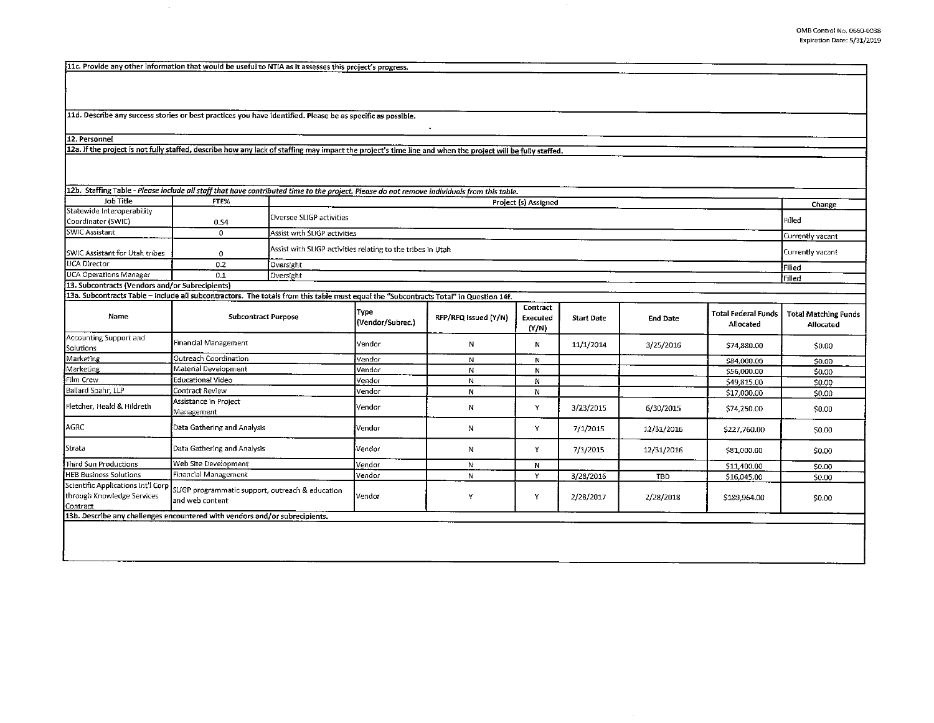llc. Provide any other information that would be useful to NTIA as it assesses this project's progress.

 $\sim$ 

11d. Describe any success stories or best practices you have identified. Please be as specific as possible.

12. Personnel

12a. If the project is not fully staffed, describe how any lack of staffing may impact the project's time line and when the project will be fully staffed.

| 12b. Staffing Table - Please include all staff that have contributed time to the project. Please do not remove individuals from this table.<br>Job Title | FTE%                                                                    |                              |                            |                      |                               |                   |                  |                                         |                                          |
|----------------------------------------------------------------------------------------------------------------------------------------------------------|-------------------------------------------------------------------------|------------------------------|----------------------------|----------------------|-------------------------------|-------------------|------------------|-----------------------------------------|------------------------------------------|
| Statewide Interoperability                                                                                                                               |                                                                         |                              |                            |                      | Project (s) Assigned          |                   |                  |                                         | Change                                   |
| Coordinator (SWIC)                                                                                                                                       | 0.54                                                                    | Oversee SLIGP activities     |                            | Filled               |                               |                   |                  |                                         |                                          |
| <b>SWIC Assistant</b>                                                                                                                                    | $\Omega$                                                                | Assist with SLIGP activities |                            |                      |                               |                   |                  |                                         | Currently vacant                         |
| SWIC Assistant for Utah tribes                                                                                                                           | Assist with SLIGP activities relating to the tribes in Utah<br>$\Omega$ |                              |                            |                      |                               |                   | Currently vacant |                                         |                                          |
| <b>UCA Director</b>                                                                                                                                      | 0.2                                                                     |                              | Oversight<br><b>Filled</b> |                      |                               |                   |                  |                                         |                                          |
| <b>UCA Operations Manager</b>                                                                                                                            | 0.1                                                                     | Oversight                    |                            |                      |                               |                   |                  |                                         | <b>Filled</b>                            |
| 13. Subcontracts (Vendors and/or Subrecipients)                                                                                                          |                                                                         |                              |                            |                      |                               |                   |                  |                                         |                                          |
| 13a. Subcontracts Table – include all subcontractors. The totals from this table must equal the "Subcontracts Total" in Question 14f.                    |                                                                         |                              |                            |                      |                               |                   |                  |                                         |                                          |
| Name                                                                                                                                                     | <b>Subcontract Purpose</b>                                              |                              | Type<br>(Vendor/Subrec.)   | RFP/RFQ Issued (Y/N) | Contract<br>Executed<br>(Y/N) | <b>Start Date</b> | <b>End Date</b>  | <b>Total Federal Funds</b><br>Allocated | <b>Total Matching Funds</b><br>Allocated |
| Accounting Support and<br>Solutions                                                                                                                      | Financial Management                                                    |                              | Vendor                     | N                    | N                             | 11/1/2014         | 3/25/2016        | \$74,880.00                             | 50.00                                    |
| Marketing                                                                                                                                                | Outreach Coordination                                                   |                              | Vendor                     | N                    | N                             |                   |                  | \$84,000.00                             | <b>SO.00</b>                             |
| Marketing                                                                                                                                                | Material Development                                                    |                              | Vendor                     | Ν                    | N                             |                   |                  | \$56,000.00                             | \$0.00                                   |
| Film Crew                                                                                                                                                | Educational Video                                                       |                              | Vendor                     | N                    | N                             |                   |                  | \$49,815.00                             | \$0.00                                   |
| Ballard Spahr, LLP                                                                                                                                       | Contract Review                                                         |                              | Vendor                     | N                    | N                             |                   |                  | \$17,000.00                             | 50.00                                    |
| Fletcher, Heald & Hildreth                                                                                                                               | Assistance in Project<br>Management                                     |                              | Vendor                     | N                    | Y                             | 3/23/2015         | 6/30/2015        | \$74,250.00                             | \$0.00                                   |
| AGRC                                                                                                                                                     | Data Gathering and Analysis                                             |                              | Vendor                     | N                    | Y                             | 7/1/2015          | 12/31/2016       | \$227,760.00                            | \$0.00                                   |
| Strata                                                                                                                                                   | Data Gathering and Analysis                                             |                              | Vendor                     | N                    | Y                             | 7/1/2015          | 12/31/2016       | \$81,000.00                             | \$0.00                                   |
| Third Sun Productions                                                                                                                                    | Web Site Development                                                    |                              | Vendor                     | N                    | N                             |                   |                  | \$11,400.00                             | \$0.00                                   |
| <b>HEB Business Solutions</b>                                                                                                                            | Financial Management                                                    |                              | Vendor                     | N                    | Y                             | 3/28/2016         | TBD              | \$16,045.00                             | \$0.00                                   |
| Scientific Applications Int'l Corp<br>through Knowledge Services<br>Contract                                                                             | SLIGP programmatic support, outreach & education<br>and web content     |                              | Vendor                     | Y                    | Y                             | 2/28/2017         | 2/28/2018        | \$189,964.00                            | \$0.00                                   |
| 13b. Describe any challenges encountered with vendors and/or subrecipients.                                                                              |                                                                         |                              |                            |                      |                               |                   |                  |                                         |                                          |
|                                                                                                                                                          |                                                                         |                              |                            |                      |                               |                   |                  |                                         |                                          |

 $\mathbf{v}$